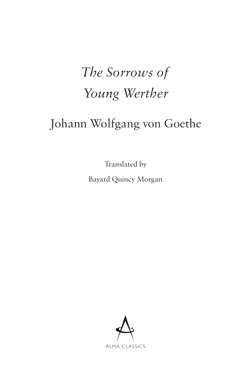# *The Sorrows of Young Werther*

## Johann Wolfgang von Goethe

Translated by Bayard Quincy Morgan

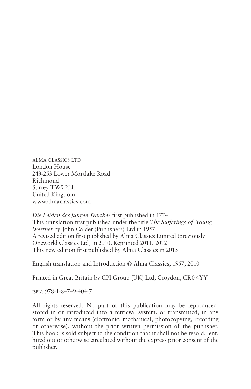alma classics ltd London House 243-253 Lower Mortlake Road Richmond Surrey TW9 2LL United Kingdom www.almaclassics.com

*Die Leiden des jungen Werther* first published in 1774 This translation first published under the title *The Sufferings of Young Werther* by John Calder (Publishers) Ltd in 1957 A revised edition first published by Alma Classics Limited (previously Oneworld Classics Ltd) in 2010. Reprinted 2011, 2012 This new edition first published by Alma Classics in 2015

English translation and Introduction © Alma Classics, 1957, 2010

Printed in Great Britain by CPI Group (UK) Ltd, Croydon, CR0 4YY

isbn: 978-1-84749-404-7

All rights reserved. No part of this publication may be reproduced, stored in or introduced into a retrieval system, or transmitted, in any form or by any means (electronic, mechanical, photocopying, recording or otherwise), without the prior written permission of the publisher. This book is sold subject to the condition that it shall not be resold, lent, hired out or otherwise circulated without the express prior consent of the publisher.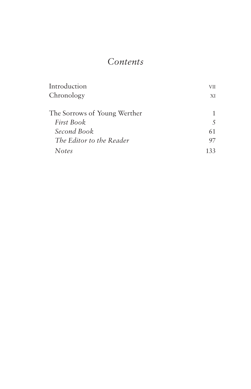## *Contents*

| Introduction                 | VII |
|------------------------------|-----|
| Chronology                   | XI  |
| The Sorrows of Young Werther |     |
| First Book                   | 5   |
| Second Book                  | 61  |
| The Editor to the Reader     | 97  |
| <b>Notes</b>                 | 133 |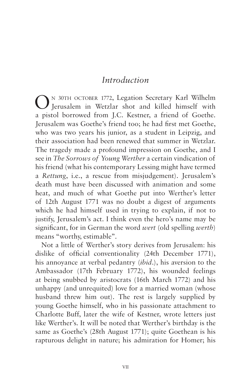### *Introduction*

O<sup>n</sup> 30th october <sup>1772</sup>, Legation Secretary Karl Wilhelm Jerusalem in Wetzlar shot and killed himself with a pistol borrowed from J.C. Kestner, a friend of Goethe. Jerusalem was Goethe's friend too; he had first met Goethe, who was two years his junior, as a student in Leipzig, and their association had been renewed that summer in Wetzlar. The tragedy made a profound impression on Goethe, and I see in *The Sorrows of Young Werther* a certain vindication of his friend (what his contemporary Lessing might have termed a *Rettung*, i.e., a rescue from misjudgement). Jerusalem's death must have been discussed with animation and some heat, and much of what Goethe put into Werther's letter of 12th August 1771 was no doubt a digest of arguments which he had himself used in trying to explain, if not to justify, Jerusalem's act. I think even the hero's name may be significant, for in German the word *wert* (old spelling *werth*) means "worthy, estimable".

Not a little of Werther's story derives from Jerusalem: his dislike of official conventionality (24th December 1771), his annoyance at verbal pedantry (*ibid.*), his aversion to the Ambassador (17th February 1772), his wounded feelings at being snubbed by aristocrats (16th March 1772) and his unhappy (and unrequited) love for a married woman (whose husband threw him out). The rest is largely supplied by young Goethe himself, who in his passionate attachment to Charlotte Buff, later the wife of Kestner, wrote letters just like Werther's. It will be noted that Werther's birthday is the same as Goethe's (28th August 1771); quite Goethean is his rapturous delight in nature; his admiration for Homer; his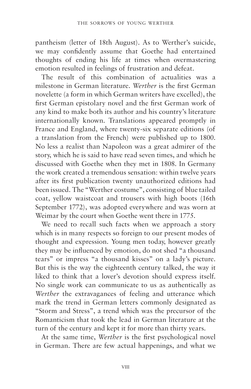pantheism (letter of 18th August). As to Werther's suicide, we may confidently assume that Goethe had entertained thoughts of ending his life at times when overmastering emotion resulted in feelings of frustration and defeat.

The result of this combination of actualities was a milestone in German literature. *Werther* is the first German novelette (a form in which German writers have excelled), the first German epistolary novel and the first German work of any kind to make both its author and his country's literature internationally known. Translations appeared promptly in France and England, where twenty-six separate editions (of a translation from the French) were published up to 1800. No less a realist than Napoleon was a great admirer of the story, which he is said to have read seven times, and which he discussed with Goethe when they met in 1808. In Germany the work created a tremendous sensation: within twelve years after its first publication twenty unauthorized editions had been issued. The "Werther costume", consisting of blue tailed coat, yellow waistcoat and trousers with high boots (16th September 1772), was adopted everywhere and was worn at Weimar by the court when Goethe went there in 1775.

We need to recall such facts when we approach a story which is in many respects so foreign to our present modes of thought and expression. Young men today, however greatly they may be influenced by emotion, do not shed "a thousand tears" or impress "a thousand kisses" on a lady's picture. But this is the way the eighteenth century talked, the way it liked to think that a lover's devotion should express itself. No single work can communicate to us as authentically as *Werther* the extravagances of feeling and utterance which mark the trend in German letters commonly designated as "Storm and Stress", a trend which was the precursor of the Romanticism that took the lead in German literature at the turn of the century and kept it for more than thirty years.

At the same time, *Werther* is the first psychological novel in German. There are few actual happenings, and what we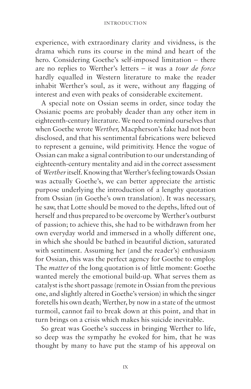experience, with extraordinary clarity and vividness, is the drama which runs its course in the mind and heart of the hero. Considering Goethe's self-imposed limitation – there are no replies to Werther's letters – it was a *tour de force* hardly equalled in Western literature to make the reader inhabit Werther's soul, as it were, without any flagging of interest and even with peaks of considerable excitement.

A special note on Ossian seems in order, since today the Ossianic poems are probably deader than any other item in eighteenth-century literature. We need to remind ourselves that when Goethe wrote *Werther,* Macpherson's fake had not been disclosed, and that his sentimental fabrications were believed to represent a genuine, wild primitivity. Hence the vogue of Ossian can make a signal contribution to our understanding of eighteenth-century mentality and aid in the correct assessment of *Werther* itself. Knowing that Werther's feeling towards Ossian was actually Goethe's, we can better appreciate the artistic purpose underlying the introduction of a lengthy quotation from Ossian (in Goethe's own translation). It was necessary, he saw, that Lotte should be moved to the depths, lifted out of herself and thus prepared to be overcome by Werther's outburst of passion; to achieve this, she had to be withdrawn from her own everyday world and immersed in a wholly different one, in which she should be bathed in beautiful diction, saturated with sentiment. Assuming her (and the reader's) enthusiasm for Ossian, this was the perfect agency for Goethe to employ. The *matter* of the long quotation is of little moment: Goethe wanted merely the emotional build-up. What serves them as catalyst is the short passage (remote in Ossian from the previous one, and slightly altered in Goethe's version) in which the singer foretells his own death; Werther, by now in a state of the utmost turmoil, cannot fail to break down at this point, and that in turn brings on a crisis which makes his suicide inevitable.

So great was Goethe's success in bringing Werther to life, so deep was the sympathy he evoked for him, that he was thought by many to have put the stamp of his approval on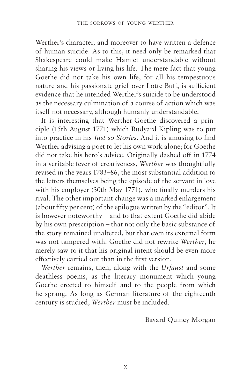Werther's character, and moreover to have written a defence of human suicide. As to this, it need only be remarked that Shakespeare could make Hamlet understandable without sharing his views or living his life. The mere fact that young Goethe did not take his own life, for all his tempestuous nature and his passionate grief over Lotte Buff, is sufficient evidence that he intended Werther's suicide to be understood as the necessary culmination of a course of action which was itself not necessary, although humanly understandable.

It is interesting that Werther-Goethe discovered a principle (15th August 1771) which Rudyard Kipling was to put into practice in his *Just so Stories.* And it is amusing to find Werther advising a poet to let his own work alone; for Goethe did not take his hero's advice. Originally dashed off in 1774 in a veritable fever of creativeness, *Werther* was thoughtfully revised in the years 1783–86, the most substantial addition to the letters themselves being the episode of the servant in love with his employer (30th May 1771), who finally murders his rival. The other important change was a marked enlargement (about fifty per cent) of the epilogue written by the "editor". It is however noteworthy – and to that extent Goethe did abide by his own prescription – that not only the basic substance of the story remained unaltered, but that even its external form was not tampered with. Goethe did not rewrite *Werther*, he merely saw to it that his original intent should be even more effectively carried out than in the first version.

*Werther* remains, then, along with the *Urfaust* and some deathless poems, as the literary monument which young Goethe erected to himself and to the people from which he sprang. As long as German literature of the eighteenth century is studied, *Werther* must be included.

– Bayard Quincy Morgan

x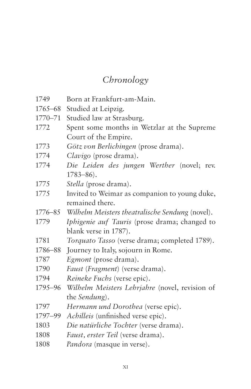### *Chronology*

- 1749 Born at Frankfurt-am-Main.
- 1765–68 Studied at Leipzig.
- 1770–71 Studied law at Strasburg.
- 1772 Spent some months in Wetzlar at the Supreme Court of the Empire.
- 1773 *Götz von Berlichingen* (prose drama).
- 1774 *Clavigo* (prose drama).
- 1774 *Die Leiden des jungen Werther* (novel; rev. 1783–86).
- 1775 *Stella* (prose drama).
- 1775 Invited to Weimar as companion to young duke, remained there.
- 1776–85 *Wilhelm Meisters theatralische Sendung* (novel).
- 1779 *Iphigenie auf Tauris* (prose drama; changed to blank verse in 1787).
- 1781 *Torquato Tasso* (verse drama; completed 1789).
- 1786–88 Journey to Italy, sojourn in Rome.
- 1787 *Egmont* (prose drama).
- 1790 *Faust* (*Fragment*) (verse drama).
- 1794 *Reineke Fuchs* (verse epic).
- 1795–96 *Wilhelm Meisters Lehrjahre* (novel, revision of the *Sendung*).
- 1797 *Hermann und Dorothea* (verse epic).
- 1797–99 *Achilleis* (unfinished verse epic).
- 1803 *Die natürliche Tochter* (verse drama).
- 1808 *Faust, erster Teil* (verse drama).
- 1808 *Pandora* (masque in verse).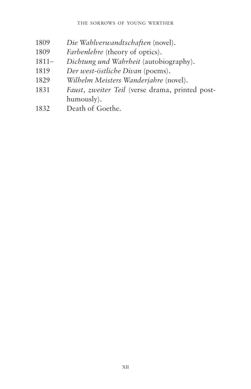- 1809 *Die Wahlverwandtschaften* (novel).
- 1809 *Farbenlehre* (theory of optics).
- 1811– *Dichtung und Wahrheit* (autobiography).
- 1819 *Der west-östliche Divan* (poems).
- 1829 *Wilhelm Meisters Wanderjahre* (novel).
- 1831 *Faust, zweiter Teil* (verse drama, printed posthumously).
- 1832 Death of Goethe.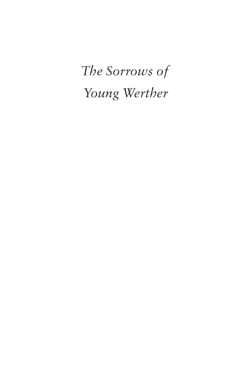*The Sorrows of Young Werther*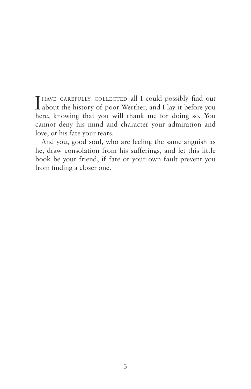I HAVE CAREFULLY COLLECTED all I could possibly find out about the history of poor Werther, and I lay it before you about the history of poor Werther, and I lay it before you here, knowing that you will thank me for doing so. You cannot deny his mind and character your admiration and love, or his fate your tears.

And you, good soul, who are feeling the same anguish as he, draw consolation from his sufferings, and let this little book be your friend, if fate or your own fault prevent you from finding a closer one.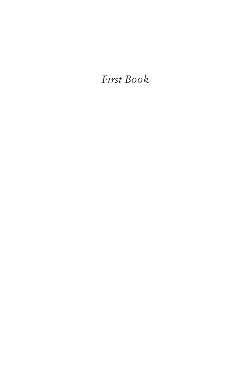## *First Book*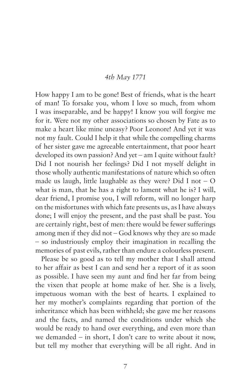#### *4th May 1771*

How happy I am to be gone! Best of friends, what is the heart of man! To forsake you, whom I love so much, from whom I was inseparable, and be happy! I know you will forgive me for it. Were not my other associations so chosen by Fate as to make a heart like mine uneasy? Poor Leonore! And yet it was not my fault. Could I help it that while the compelling charms of her sister gave me agreeable entertainment, that poor heart developed its own passion? And yet – am I quite without fault? Did I not nourish her feelings? Did I not myself delight in those wholly authentic manifestations of nature which so often made us laugh, little laughable as they were? Did I not  $-$  O what is man, that he has a right to lament what he is? I will, dear friend, I promise you, I will reform, will no longer harp on the misfortunes with which fate presents us, as I have always done; I will enjoy the present, and the past shall be past. You are certainly right, best of men: there would be fewer sufferings among men if they did not – God knows why they are so made – so industriously employ their imagination in recalling the memories of past evils, rather than endure a colourless present.

Please be so good as to tell my mother that I shall attend to her affair as best I can and send her a report of it as soon as possible. I have seen my aunt and find her far from being the vixen that people at home make of her. She is a lively, impetuous woman with the best of hearts. I explained to her my mother's complaints regarding that portion of the inheritance which has been withheld; she gave me her reasons and the facts, and named the conditions under which she would be ready to hand over everything, and even more than we demanded – in short, I don't care to write about it now, but tell my mother that everything will be all right. And in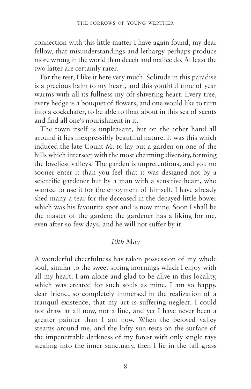connection with this little matter I have again found, my dear fellow, that misunderstandings and lethargy perhaps produce more wrong in the world than deceit and malice do. At least the two latter are certainly rarer.

For the rest, I like it here very much. Solitude in this paradise is a precious balm to my heart, and this youthful time of year warms with all its fullness my oft-shivering heart. Every tree, every hedge is a bouquet of flowers, and one would like to turn into a cockchafer, to be able to float about in this sea of scents and find all one's nourishment in it.

The town itself is unpleasant, but on the other hand all around it lies inexpressibly beautiful nature. It was this which induced the late Count M. to lay out a garden on one of the hills which intersect with the most charming diversity, forming the loveliest valleys. The garden is unpretentious, and you no sooner enter it than you feel that it was designed not by a scientific gardener but by a man with a sensitive heart, who wanted to use it for the enjoyment of himself. I have already shed many a tear for the deceased in the decayed little bower which was his favourite spot and is now mine. Soon I shall be the master of the garden; the gardener has a liking for me, even after so few days, and he will not suffer by it.

#### *10th May*

A wonderful cheerfulness has taken possession of my whole soul, similar to the sweet spring mornings which I enjoy with all my heart. I am alone and glad to be alive in this locality, which was created for such souls as mine. I am so happy, dear friend, so completely immersed in the realization of a tranquil existence, that my art is suffering neglect. I could not draw at all now, not a line, and yet I have never been a greater painter than I am now. When the beloved valley steams around me, and the lofty sun rests on the surface of the impenetrable darkness of my forest with only single rays stealing into the inner sanctuary, then I lie in the tall grass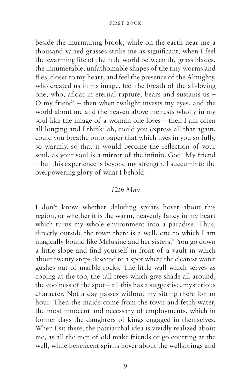beside the murmuring brook, while on the earth near me a thousand varied grasses strike me as significant; when I feel the swarming life of the little world between the grass blades, the innumerable, unfathomable shapes of the tiny worms and flies, closer to my heart, and feel the presence of the Almighty, who created us in his image, feel the breath of the all-loving one, who, afloat in eternal rapture, bears and sustains us – O my friend! – then when twilight invests my eyes, and the world about me and the heaven above me rests wholly in my soul like the image of a woman one loves – then I am often all longing and I think: ah, could you express all that again, could you breathe onto paper that which lives in you so fully, so warmly, so that it would become the reflection of your soul, as your soul is a mirror of the infinite God! My friend – but this experience is beyond my strength, I succumb to the overpowering glory of what I behold.

#### *12th May*

I don't know whether deluding spirits hover about this region, or whether it is the warm, heavenly fancy in my heart which turns my whole environment into a paradise. Thus, directly outside the town there is a well, one to which I am magically bound like Melusine and her sisters.\* You go down a little slope and find yourself in front of a vault in which about twenty steps descend to a spot where the clearest water gushes out of marble rocks. The little wall which serves as coping at the top, the tall trees which give shade all around, the coolness of the spot – all this has a suggestive, mysterious character. Not a day passes without my sitting there for an hour. Then the maids come from the town and fetch water, the most innocent and necessary of employments, which in former days the daughters of kings engaged in themselves. When I sit there, the patriarchal idea is vividly realized about me, as all the men of old make friends or go courting at the well, while beneficent spirits hover about the wellsprings and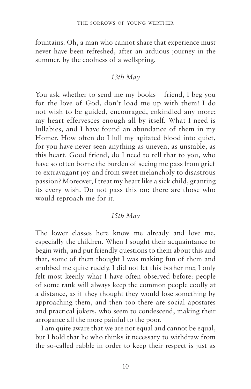fountains. Oh, a man who cannot share that experience must never have been refreshed, after an arduous journey in the summer, by the coolness of a wellspring.

#### *13th May*

You ask whether to send me my books – friend, I beg you for the love of God, don't load me up with them! I do not wish to be guided, encouraged, enkindled any more; my heart effervesces enough all by itself. What I need is lullabies, and I have found an abundance of them in my Homer. How often do I lull my agitated blood into quiet, for you have never seen anything as uneven, as unstable, as this heart. Good friend, do I need to tell that to you, who have so often borne the burden of seeing me pass from grief to extravagant joy and from sweet melancholy to disastrous passion? Moreover, I treat my heart like a sick child, granting its every wish. Do not pass this on; there are those who would reproach me for it.

#### *15th May*

The lower classes here know me already and love me, especially the children. When I sought their acquaintance to begin with, and put friendly questions to them about this and that, some of them thought I was making fun of them and snubbed me quite rudely. I did not let this bother me; I only felt most keenly what I have often observed before: people of some rank will always keep the common people coolly at a distance, as if they thought they would lose something by approaching them, and then too there are social apostates and practical jokers, who seem to condescend, making their arrogance all the more painful to the poor.

I am quite aware that we are not equal and cannot be equal, but I hold that he who thinks it necessary to withdraw from the so-called rabble in order to keep their respect is just as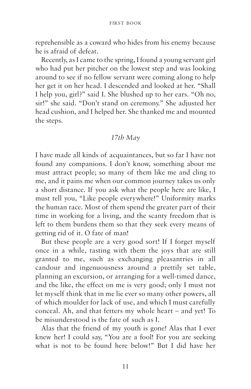reprehensible as a coward who hides from his enemy because he is afraid of defeat.

Recently, as I came to the spring, I found a young servant girl who had put her pitcher on the lowest step and was looking around to see if no fellow servant were coming along to help her get it on her head. I descended and looked at her. "Shall I help you, girl?" said I. She blushed up to her ears. "Oh no, sir!" she said. "Don't stand on ceremony." She adjusted her head cushion, and I helped her. She thanked me and mounted the steps.

#### *17th May*

I have made all kinds of acquaintances, but so far I have not found any companions. I don't know, something about me must attract people; so many of them like me and cling to me, and it pains me when our common journey takes us only a short distance. If you ask what the people here are like, I must tell you, "Like people everywhere!" Uniformity marks the human race. Most of them spend the greater part of their time in working for a living, and the scanty freedom that is left to them burdens them so that they seek every means of getting rid of it. O fate of man!

But these people are a very good sort! If I forget myself once in a while, tasting with them the joys that are still granted to me, such as exchanging pleasantries in all candour and ingenuousness around a prettily set table, planning an excursion, or arranging for a well-timed dance, and the like, the effect on me is very good; only I must not let myself think that in me lie ever so many other powers, all of which moulder for lack of use, and which I must carefully conceal. Ah, and that fetters my whole heart – and yet! To be misunderstood is the fate of such as I.

Alas that the friend of my youth is gone! Alas that I ever knew her! I could say, "You are a fool! For you are seeking what is not to be found here below!" But I did have her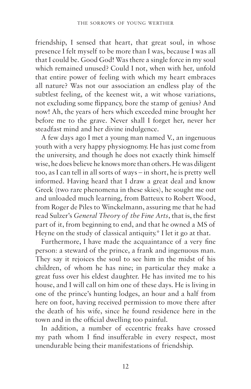friendship, I sensed that heart, that great soul, in whose presence I felt myself to be more than I was, because I was all that I could be. Good God! Was there a single force in my soul which remained unused? Could I not, when with her, unfold that entire power of feeling with which my heart embraces all nature? Was not our association an endless play of the subtlest feeling, of the keenest wit, a wit whose variations, not excluding some flippancy, bore the stamp of genius? And now! Ah, the years of hers which exceeded mine brought her before me to the grave. Never shall I forget her, never her steadfast mind and her divine indulgence.

A few days ago I met a young man named V., an ingenuous youth with a very happy physiognomy. He has just come from the university, and though he does not exactly think himself wise, he does believe he knows more than others. He was diligent too, as I can tell in all sorts of ways – in short, he is pretty well informed. Having heard that I draw a great deal and know Greek (two rare phenomena in these skies), he sought me out and unloaded much learning, from Batteux to Robert Wood, from Roger de Piles to Winckelmann, assuring me that he had read Sulzer's *General Theory of the Fine Arts*, that is, the first part of it, from beginning to end, and that he owned a MS of Heyne on the study of classical antiquity.\* I let it go at that.

Furthermore, I have made the acquaintance of a very fine person: a steward of the prince, a frank and ingenuous man. They say it rejoices the soul to see him in the midst of his children, of whom he has nine; in particular they make a great fuss over his eldest daughter. He has invited me to his house, and I will call on him one of these days. He is living in one of the prince's hunting lodges, an hour and a half from here on foot, having received permission to move there after the death of his wife, since he found residence here in the town and in the official dwelling too painful.

In addition, a number of eccentric freaks have crossed my path whom I find insufferable in every respect, most unendurable being their manifestations of friendship.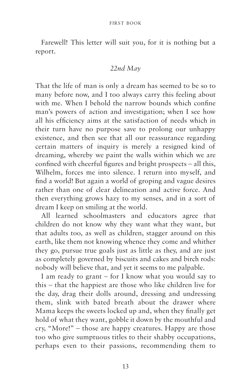Farewell! This letter will suit you, for it is nothing but a report.

#### *22nd May*

That the life of man is only a dream has seemed to be so to many before now, and I too always carry this feeling about with me. When I behold the narrow bounds which confine man's powers of action and investigation; when I see how all his efficiency aims at the satisfaction of needs which in their turn have no purpose save to prolong our unhappy existence, and then see that all our reassurance regarding certain matters of inquiry is merely a resigned kind of dreaming, whereby we paint the walls within which we are confined with cheerful figures and bright prospects – all this, Wilhelm, forces me into silence. I return into myself, and find a world! But again a world of groping and vague desires rather than one of clear delineation and active force. And then everything grows hazy to my senses, and in a sort of dream I keep on smiling at the world.

All learned schoolmasters and educators agree that children do not know why they want what they want, but that adults too, as well as children, stagger around on this earth, like them not knowing whence they come and whither they go, pursue true goals just as little as they, and are just as completely governed by biscuits and cakes and birch rods: nobody will believe that, and yet it seems to me palpable.

I am ready to grant – for I know what you would say to this – that the happiest are those who like children live for the day, drag their dolls around, dressing and undressing them, slink with bated breath about the drawer where Mama keeps the sweets locked up and, when they finally get hold of what they want, gobble it down by the mouthful and cry, "More!" – those are happy creatures. Happy are those too who give sumptuous titles to their shabby occupations, perhaps even to their passions, recommending them to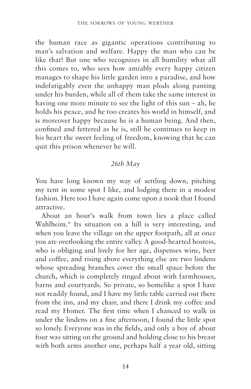the human race as gigantic operations contributing to man's salvation and welfare. Happy the man who can be like that! But one who recognizes in all humility what all this comes to, who sees how amiably every happy citizen manages to shape his little garden into a paradise, and how indefatigably even the unhappy man plods along panting under his burden, while all of them take the same interest in having one more minute to see the light of this sun – ah, he holds his peace, and he too creates his world in himself, and is moreover happy because he is a human being. And then, confined and fettered as he is, still he continues to keep in his heart the sweet feeling of freedom, knowing that he can quit this prison whenever he will.

#### *26th May*

You have long known my way of settling down, pitching my tent in some spot I like, and lodging there in a modest fashion. Here too I have again come upon a nook that I found attractive.

About an hour's walk from town lies a place called Wahlheim.\* Its situation on a hill is very interesting, and when you leave the village on the upper footpath, all at once you are overlooking the entire valley. A good-hearted hostess, who is obliging and lively for her age, dispenses wine, beer and coffee, and rising above everything else are two lindens whose spreading branches cover the small space before the church, which is completely ringed about with farmhouses, barns and courtyards. So private, so homelike a spot I have not readily found, and I have my little table carried out there from the inn, and my chair, and there I drink my coffee and read my Homer. The first time when I chanced to walk in under the lindens on a fine afternoon, I found the little spot so lonely. Everyone was in the fields, and only a boy of about four was sitting on the ground and holding close to his breast with both arms another one, perhaps half a year old, sitting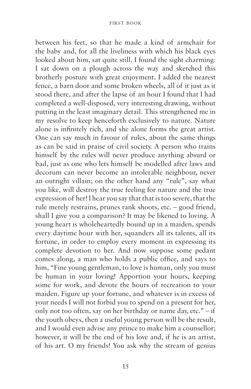between his feet, so that he made a kind of armchair for the baby and, for all the liveliness with which his black eyes looked about him, sat quite still. I found the sight charming: I sat down on a plough across the way and sketched this brotherly posture with great enjoyment. I added the nearest fence, a barn door and some broken wheels, all of it just as it stood there, and after the lapse of an hour I found that I had completed a well-disposed, very interesting drawing, without putting in the least imaginary detail. This strengthened me in my resolve to keep henceforth exclusively to nature. Nature alone is infinitely rich, and she alone forms the great artist. One can say much in favour of rules, about the same things as can be said in praise of civil society. A person who trains himself by the rules will never produce anything absurd or bad, just as one who lets himself be modelled after laws and decorum can never become an intolerable neighbour, never an outright villain; on the other hand any "rule", say what you like, will destroy the true feeling for nature and the true expression of her! I hear you say that that is too severe, that the rule merely restrains, prunes rank shoots, etc. – good friend, shall I give you a comparison? It may be likened to loving. A young heart is wholeheartedly bound up in a maiden, spends every daytime hour with her, squanders all its talents, all its fortune, in order to employ every moment in expressing its complete devotion to her. And now suppose some pedant comes along, a man who holds a public office, and says to him, "Fine young gentleman, to love is human, only you must be human in your loving! Apportion your hours, keeping some for work, and devote the hours of recreation to your maiden. Figure up your fortune, and whatever is in excess of your needs I will not forbid you to spend on a present for her, only not too often, say on her birthday or name day, etc." – if the youth obeys, then a useful young person will be the result, and I would even advise any prince to make him a counsellor; however, it will be the end of his love and, if he is an artist, of his art. O my friends! You ask why the stream of genius